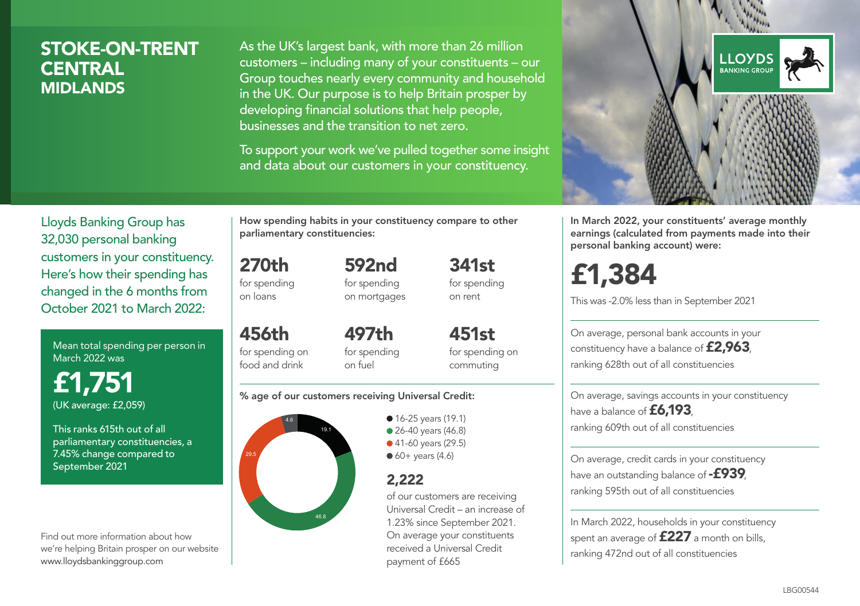# STOKE-ON-TRENT **CENTRAL** MIDLANDS

As the UK's largest bank, with more than 26 million customers – including many of your constituents – our Group touches nearly every community and household in the UK. Our purpose is to help Britain prosper by developing financial solutions that help people, businesses and the transition to net zero.

To support your work we've pulled together some insight and data about our customers in your constituency.



Mean total spending per person in March 2022 was

£1,751 (UK average: £2,059)

This ranks 615th out of all parliamentary constituencies, a 7.45% change compared to September 2021

Find out more information about how we're helping Britain prosper on our website www.lloydsbankinggroup.com

How spending habits in your constituency compare to other parliamentary constituencies:

270th for spending

on loans

456th

592nd for spending on mortgages 341st for spending on rent

for spending on food and drink 497th for spending on fuel

451st for spending on commuting

#### % age of our customers receiving Universal Credit:



**16-25 years (19.1)** • 26-40 years (46.8) ● 41-60 years (29.5)

 $60+$  years (4.6)

## 2,222

of our customers are receiving Universal Credit – an increase of 1.23% since September 2021. On average your constituents received a Universal Credit payment of £665



In March 2022, your constituents' average monthly earnings (calculated from payments made into their personal banking account) were:

# £1,384

This was -2.0% less than in September 2021

On average, personal bank accounts in your constituency have a balance of £2,963, ranking 628th out of all constituencies

On average, savings accounts in your constituency have a balance of **£6,193** ranking 609th out of all constituencies

On average, credit cards in your constituency have an outstanding balance of **-£939** ranking 595th out of all constituencies

In March 2022, households in your constituency spent an average of £227 a month on bills, ranking 472nd out of all constituencies